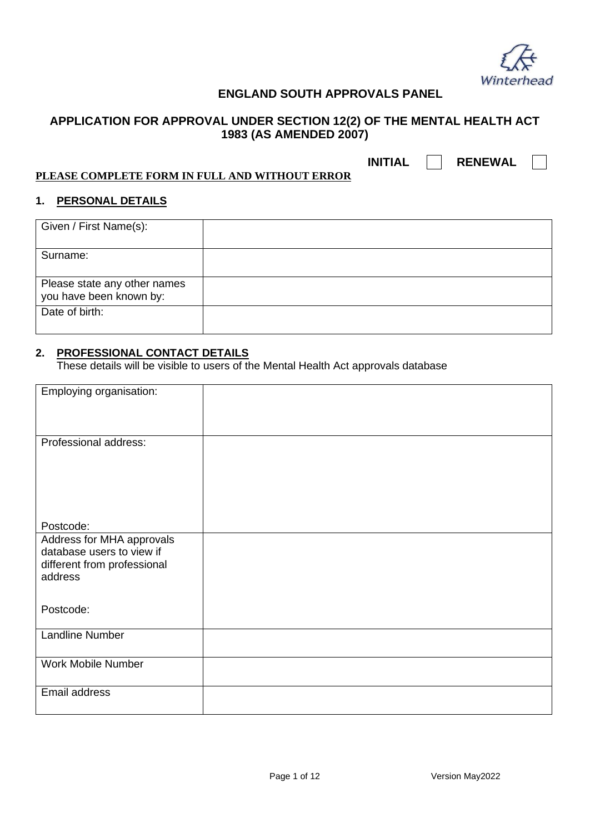

## **ENGLAND SOUTH APPROVALS PANEL**

## **APPLICATION FOR APPROVAL UNDER SECTION 12(2) OF THE MENTAL HEALTH ACT 1983 (AS AMENDED 2007)**

**INITIAL RENEWAL**

## **PLEASE COMPLETE FORM IN FULL AND WITHOUT ERROR**

#### **1. PERSONAL DETAILS**

| Given / First Name(s):                                  |  |
|---------------------------------------------------------|--|
| Surname:                                                |  |
| Please state any other names<br>you have been known by: |  |
| Date of birth:                                          |  |

#### **2. PROFESSIONAL CONTACT DETAILS**

These details will be visible to users of the Mental Health Act approvals database

| Employing organisation:                                                                          |  |
|--------------------------------------------------------------------------------------------------|--|
| Professional address:                                                                            |  |
| Postcode:                                                                                        |  |
| Address for MHA approvals<br>database users to view if<br>different from professional<br>address |  |
| Postcode:                                                                                        |  |
| <b>Landline Number</b>                                                                           |  |
| Work Mobile Number                                                                               |  |
| Email address                                                                                    |  |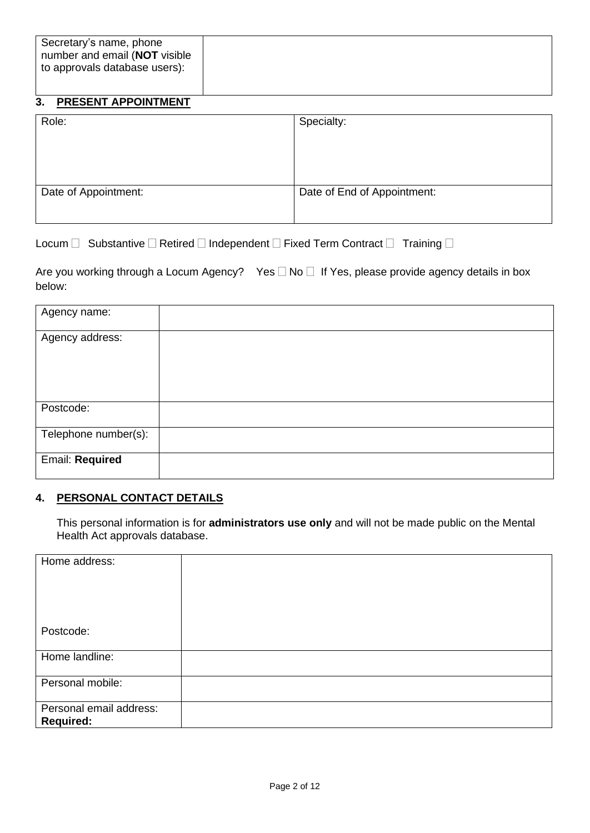| number and email (NOT visible<br>to approvals database users): |  |
|----------------------------------------------------------------|--|
|----------------------------------------------------------------|--|

# **3. PRESENT APPOINTMENT**

| Role:                | Specialty:                  |
|----------------------|-----------------------------|
|                      |                             |
|                      |                             |
|                      |                             |
| Date of Appointment: | Date of End of Appointment: |
|                      |                             |

Locum  $\Box$  Substantive  $\Box$  Retired  $\Box$  Independent  $\Box$  Fixed Term Contract  $\Box$  Training  $\Box$ 

Are you working through a Locum Agency? Yes  $\Box$  No  $\Box$  If Yes, please provide agency details in box below:

| Agency name:           |  |
|------------------------|--|
| Agency address:        |  |
|                        |  |
| Postcode:              |  |
| Telephone number(s):   |  |
| <b>Email: Required</b> |  |

### **4. PERSONAL CONTACT DETAILS**

This personal information is for **administrators use only** and will not be made public on the Mental Health Act approvals database.

| Home address:                               |  |
|---------------------------------------------|--|
| Postcode:                                   |  |
| Home landline:                              |  |
| Personal mobile:                            |  |
| Personal email address:<br><b>Required:</b> |  |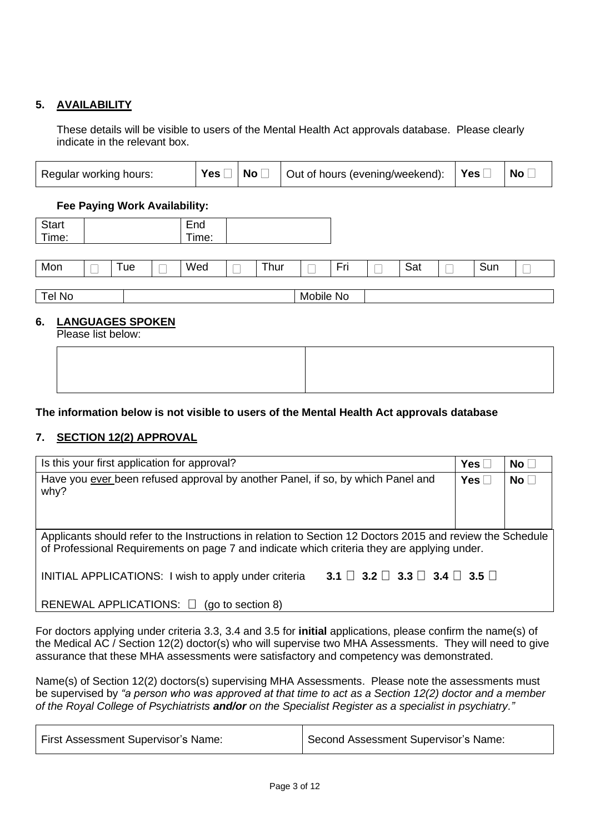### **5. AVAILABILITY**

These details will be visible to users of the Mental Health Act approvals database. Please clearly indicate in the relevant box.

| Regular working hours: |  | $\mathsf{Yes} \ \Box \ \mathsf{No} \ \Box \ \ \mathsf{Out} \ \mathsf{of} \ \mathsf{hours} \ \mathsf{(evening/weekend):} \ \mathsf{Yes} \ \Box$ | No <sub>1</sub> |
|------------------------|--|------------------------------------------------------------------------------------------------------------------------------------------------|-----------------|
|                        |  |                                                                                                                                                |                 |

## **Fee Paying Work Availability:**

| Start<br>Time: |     | End   |      |     |     |     |  |
|----------------|-----|-------|------|-----|-----|-----|--|
|                |     | Time: |      |     |     |     |  |
|                |     |       |      |     |     |     |  |
|                |     |       |      |     |     |     |  |
|                |     |       |      |     |     |     |  |
| Mon            | Tue | Wed   | Thur | Fri | Sat | Sun |  |
|                |     |       |      |     |     |     |  |
|                |     |       |      |     |     |     |  |
|                |     |       |      |     |     |     |  |

| <b>INC</b><br>$\sim$<br>__ | . .<br>IVI.<br><b>INC</b><br>,,,,<br>. |  |
|----------------------------|----------------------------------------|--|
|                            |                                        |  |

## **6. LANGUAGES SPOKEN**

Please list below:

## **The information below is not visible to users of the Mental Health Act approvals database**

# **7. SECTION 12(2) APPROVAL**

| Is this your first application for approval?                                                                                                                                                              | Yes [            | No <sub>1</sub> |
|-----------------------------------------------------------------------------------------------------------------------------------------------------------------------------------------------------------|------------------|-----------------|
| Have you ever been refused approval by another Panel, if so, by which Panel and<br>why?                                                                                                                   | Yes <sub>1</sub> | No <sub>1</sub> |
| Applicants should refer to the Instructions in relation to Section 12 Doctors 2015 and review the Schedule<br>of Professional Requirements on page 7 and indicate which criteria they are applying under. |                  |                 |
| $3.1 \square$ $3.2 \square$ $3.3 \square$ $3.4 \square$ $3.5 \square$<br>INITIAL APPLICATIONS: I wish to apply under criteria                                                                             |                  |                 |
| RENEWAL APPLICATIONS: $\Box$ (go to section 8)                                                                                                                                                            |                  |                 |

For doctors applying under criteria 3.3, 3.4 and 3.5 for **initial** applications, please confirm the name(s) of the Medical AC / Section 12(2) doctor(s) who will supervise two MHA Assessments. They will need to give assurance that these MHA assessments were satisfactory and competency was demonstrated.

Name(s) of Section 12(2) doctors(s) supervising MHA Assessments. Please note the assessments must be supervised by *"a person who was approved at that time to act as a Section 12(2) doctor and a member of the Royal College of Psychiatrists and/or on the Specialist Register as a specialist in psychiatry."*

| Second Assessment Supervisor's Name:<br>First Assessment Supervisor's Name: |  |
|-----------------------------------------------------------------------------|--|
|-----------------------------------------------------------------------------|--|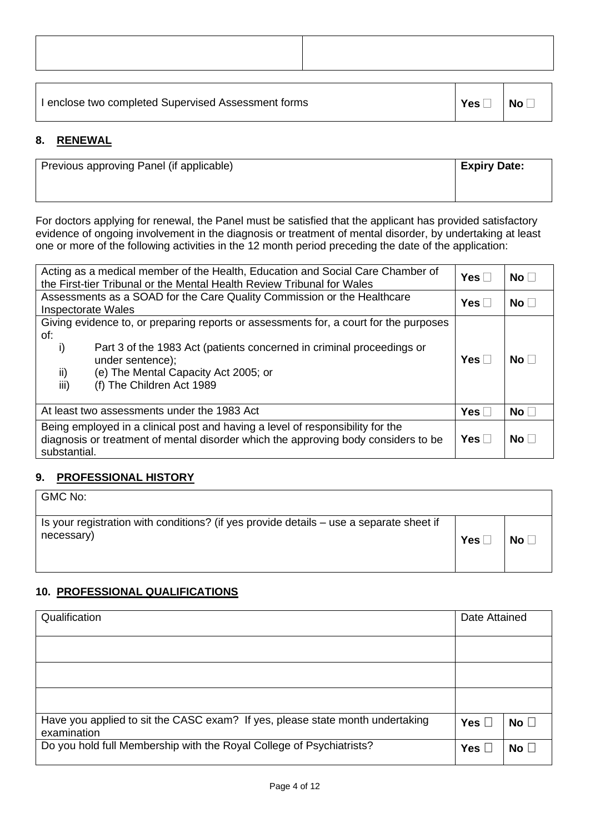**I** enclose two completed Supervised Assessment forms **Yes NoD Yes NoD** 

## **8. RENEWAL**

| Previous approving Panel (if applicable) | <b>Expiry Date:</b> |
|------------------------------------------|---------------------|
|                                          |                     |

For doctors applying for renewal, the Panel must be satisfied that the applicant has provided satisfactory evidence of ongoing involvement in the diagnosis or treatment of mental disorder, by undertaking at least one or more of the following activities in the 12 month period preceding the date of the application:

| Acting as a medical member of the Health, Education and Social Care Chamber of<br>the First-tier Tribunal or the Mental Health Review Tribunal for Wales                                                                                                                                    |            | No <sub>1</sub> |
|---------------------------------------------------------------------------------------------------------------------------------------------------------------------------------------------------------------------------------------------------------------------------------------------|------------|-----------------|
| Assessments as a SOAD for the Care Quality Commission or the Healthcare<br>Inspectorate Wales                                                                                                                                                                                               | $Yes \Box$ | No <sub>1</sub> |
| Giving evidence to, or preparing reports or assessments for, a court for the purposes<br>of:<br>i)<br>Part 3 of the 1983 Act (patients concerned in criminal proceedings or<br>Yes <br>under sentence);<br>ii)<br>(e) The Mental Capacity Act 2005; or<br>iii)<br>(f) The Children Act 1989 |            | No <sub>1</sub> |
| At least two assessments under the 1983 Act                                                                                                                                                                                                                                                 |            | No <sub>1</sub> |
| Being employed in a clinical post and having a level of responsibility for the<br>diagnosis or treatment of mental disorder which the approving body considers to be<br>substantial.                                                                                                        |            | No <sub>1</sub> |

## **9. PROFESSIONAL HISTORY**

| GMC No:                                                                                               |       |                 |
|-------------------------------------------------------------------------------------------------------|-------|-----------------|
| Is your registration with conditions? (if yes provide details – use a separate sheet if<br>necessary) | Yes L | No <sub>1</sub> |

## **10. PROFESSIONAL QUALIFICATIONS**

| Qualification                                                                                | Date Attained |           |
|----------------------------------------------------------------------------------------------|---------------|-----------|
|                                                                                              |               |           |
|                                                                                              |               |           |
|                                                                                              |               |           |
| Have you applied to sit the CASC exam? If yes, please state month undertaking<br>examination | Yes $\Box$    | No $\Box$ |
| Do you hold full Membership with the Royal College of Psychiatrists?                         | Yes $\Box$    | No $\Box$ |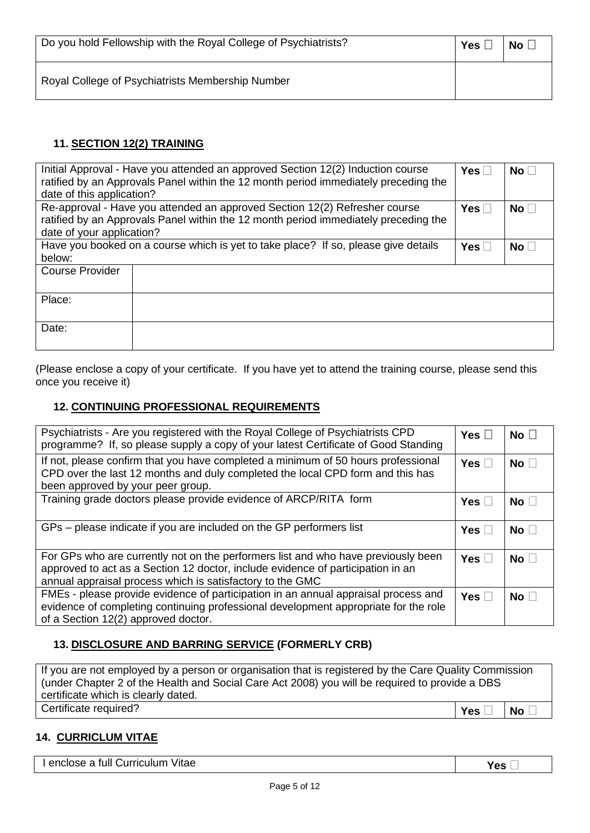| Do you hold Fellowship with the Royal College of Psychiatrists? |  | No $\square$ |
|-----------------------------------------------------------------|--|--------------|
| Royal College of Psychiatrists Membership Number                |  |              |

## **11. SECTION 12(2) TRAINING**

| Initial Approval - Have you attended an approved Section 12(2) Induction course<br>ratified by an Approvals Panel within the 12 month period immediately preceding the<br>date of this application? |  | Yes <sub>1</sub> | No <sub>1</sub> |
|-----------------------------------------------------------------------------------------------------------------------------------------------------------------------------------------------------|--|------------------|-----------------|
| Re-approval - Have you attended an approved Section 12(2) Refresher course<br>ratified by an Approvals Panel within the 12 month period immediately preceding the<br>date of your application?      |  | Yes              | No <sub>1</sub> |
| Have you booked on a course which is yet to take place? If so, please give details<br>below:                                                                                                        |  | Yes              | No <sub>1</sub> |
| <b>Course Provider</b>                                                                                                                                                                              |  |                  |                 |
| Place:                                                                                                                                                                                              |  |                  |                 |
| Date:                                                                                                                                                                                               |  |                  |                 |

(Please enclose a copy of your certificate. If you have yet to attend the training course, please send this once you receive it)

## **12. CONTINUING PROFESSIONAL REQUIREMENTS**

| Psychiatrists - Are you registered with the Royal College of Psychiatrists CPD<br>programme? If, so please supply a copy of your latest Certificate of Good Standing                                                              |                  | No $\Box$       |
|-----------------------------------------------------------------------------------------------------------------------------------------------------------------------------------------------------------------------------------|------------------|-----------------|
| If not, please confirm that you have completed a minimum of 50 hours professional<br>CPD over the last 12 months and duly completed the local CPD form and this has<br>been approved by your peer group.                          | Yes $\Gamma$     | No <sub>1</sub> |
| Training grade doctors please provide evidence of ARCP/RITA form                                                                                                                                                                  | Yes <sub>1</sub> | No <sub>1</sub> |
| GPs – please indicate if you are included on the GP performers list                                                                                                                                                               | Yes              | No <sub>1</sub> |
| For GPs who are currently not on the performers list and who have previously been<br>approved to act as a Section 12 doctor, include evidence of participation in an<br>annual appraisal process which is satisfactory to the GMC | Yes $\Box$       | No <sub>1</sub> |
| FMEs - please provide evidence of participation in an annual appraisal process and<br>evidence of completing continuing professional development appropriate for the role<br>of a Section 12(2) approved doctor.                  | Yes $\Box$       | No <sub>1</sub> |

## **13. DISCLOSURE AND BARRING SERVICE (FORMERLY CRB)**

If you are not employed by a person or organisation that is registered by the Care Quality Commission (under Chapter 2 of the Health and Social Care Act 2008) you will be required to provide a DBS certificate which is clearly dated. **Certificate required?** No □

## **14. CURRICLUM VITAE**

I enclose a full Curriculum Vitae **Yes**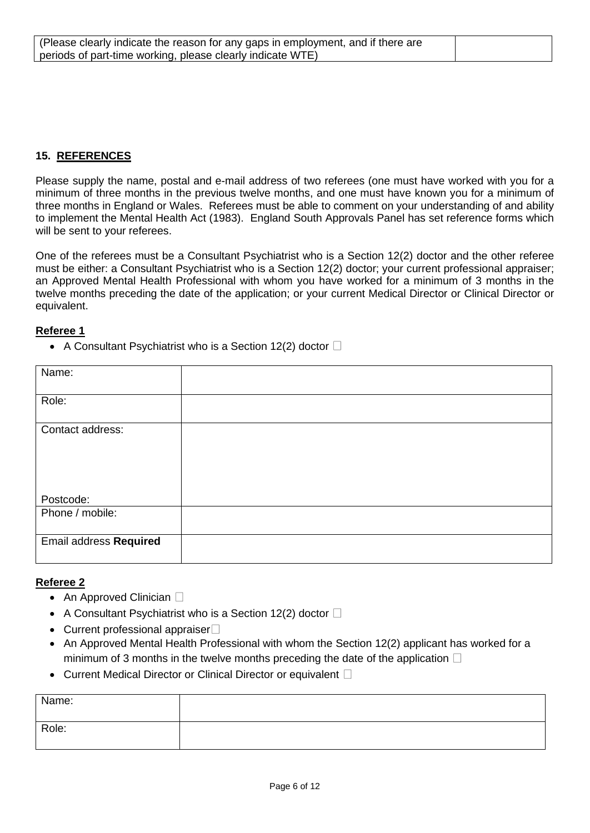### **15. REFERENCES**

Please supply the name, postal and e-mail address of two referees (one must have worked with you for a minimum of three months in the previous twelve months, and one must have known you for a minimum of three months in England or Wales. Referees must be able to comment on your understanding of and ability to implement the Mental Health Act (1983). England South Approvals Panel has set reference forms which will be sent to your referees.

One of the referees must be a Consultant Psychiatrist who is a Section 12(2) doctor and the other referee must be either: a Consultant Psychiatrist who is a Section 12(2) doctor; your current professional appraiser; an Approved Mental Health Professional with whom you have worked for a minimum of 3 months in the twelve months preceding the date of the application; or your current Medical Director or Clinical Director or equivalent.

#### **Referee 1**

• A Consultant Psychiatrist who is a Section 12(2) doctor  $\square$ 

| Name:                        |  |
|------------------------------|--|
| Role:                        |  |
| Contact address:             |  |
| Postcode:<br>Phone / mobile: |  |
| Email address Required       |  |

#### **Referee 2**

- An Approved Clinician  $\Box$
- A Consultant Psychiatrist who is a Section 12(2) doctor  $\square$
- Current professional appraiser $\Box$
- An Approved Mental Health Professional with whom the Section 12(2) applicant has worked for a minimum of 3 months in the twelve months preceding the date of the application  $\Box$
- Current Medical Director or Clinical Director or equivalent  $\Box$

| Name: |  |
|-------|--|
| Role: |  |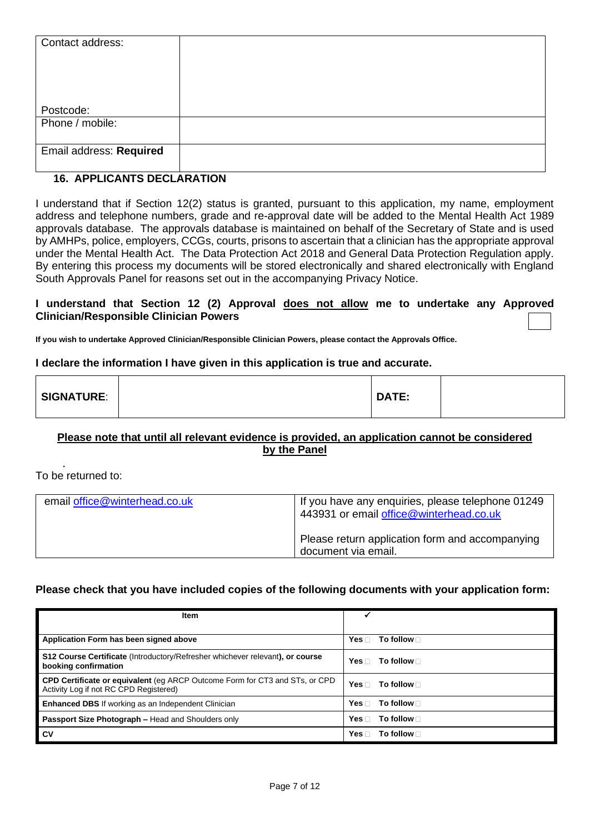| Contact address:        |  |
|-------------------------|--|
| Postcode:               |  |
| Phone / mobile:         |  |
| Email address: Required |  |

### **16. APPLICANTS DECLARATION**

I understand that if Section 12(2) status is granted, pursuant to this application, my name, employment address and telephone numbers, grade and re-approval date will be added to the Mental Health Act 1989 approvals database. The approvals database is maintained on behalf of the Secretary of State and is used by AMHPs, police, employers, CCGs, courts, prisons to ascertain that a clinician has the appropriate approval under the Mental Health Act. The Data Protection Act 2018 and General Data Protection Regulation apply. By entering this process my documents will be stored electronically and shared electronically with England South Approvals Panel for reasons set out in the accompanying Privacy Notice.

#### **I understand that Section 12 (2) Approval does not allow me to undertake any Approved Clinician/Responsible Clinician Powers**

**If you wish to undertake Approved Clinician/Responsible Clinician Powers, please contact the Approvals Office.**

#### **I declare the information I have given in this application is true and accurate.**

| SIGNATURE: |  | <b>DATE:</b> |  |
|------------|--|--------------|--|
|------------|--|--------------|--|

### **Please note that until all relevant evidence is provided, an application cannot be considered by the Panel**

. To be returned to:

| email office@winterhead.co.uk | If you have any enquiries, please telephone 01249<br>443931 or email office@winterhead.co.uk |
|-------------------------------|----------------------------------------------------------------------------------------------|
|                               | Please return application form and accompanying<br>document via email.                       |

### **Please check that you have included copies of the following documents with your application form:**

| <b>Item</b>                                                                                                           |                           |
|-----------------------------------------------------------------------------------------------------------------------|---------------------------|
| Application Form has been signed above                                                                                | To follow $\Box$<br>Yes ⊺ |
| <b>S12 Course Certificate (Introductory/Refresher whichever relevant), or course</b><br>booking confirmation          | To follow $\Box$<br>Yes ⊓ |
| CPD Certificate or equivalent (eg ARCP Outcome Form for CT3 and STs, or CPD<br>Activity Log if not RC CPD Registered) | To follow $\Box$<br>Yes⊺  |
| Enhanced DBS If working as an Independent Clinician                                                                   | To follow $\Box$<br>Yes ⊓ |
| Passport Size Photograph - Head and Shoulders only                                                                    | To follow $\Box$<br>Yes⊺  |
| I CV                                                                                                                  | To follow $\Box$<br>Yes⊺  |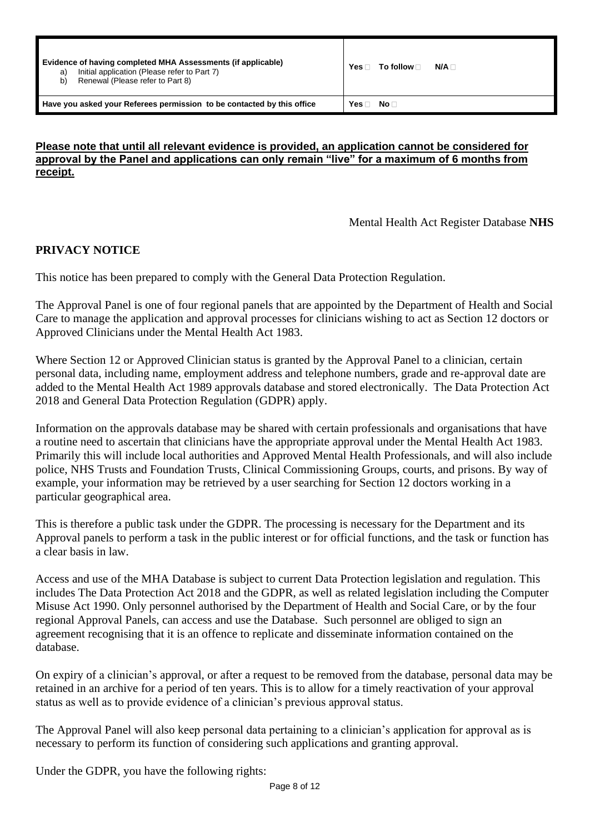### **Please note that until all relevant evidence is provided, an application cannot be considered for approval by the Panel and applications can only remain "live" for a maximum of 6 months from receipt.**

Mental Health Act Register Database **NHS**

## **PRIVACY NOTICE**

This notice has been prepared to comply with the General Data Protection Regulation.

The Approval Panel is one of four regional panels that are appointed by the Department of Health and Social Care to manage the application and approval processes for clinicians wishing to act as Section 12 doctors or Approved Clinicians under the Mental Health Act 1983.

Where Section 12 or Approved Clinician status is granted by the Approval Panel to a clinician, certain personal data, including name, employment address and telephone numbers, grade and re-approval date are added to the Mental Health Act 1989 approvals database and stored electronically. The Data Protection Act 2018 and General Data Protection Regulation (GDPR) apply.

Information on the approvals database may be shared with certain professionals and organisations that have a routine need to ascertain that clinicians have the appropriate approval under the Mental Health Act 1983. Primarily this will include local authorities and Approved Mental Health Professionals, and will also include police, NHS Trusts and Foundation Trusts, Clinical Commissioning Groups, courts, and prisons. By way of example, your information may be retrieved by a user searching for Section 12 doctors working in a particular geographical area.

This is therefore a public task under the GDPR. The processing is necessary for the Department and its Approval panels to perform a task in the public interest or for official functions, and the task or function has a clear basis in law.

Access and use of the MHA Database is subject to current Data Protection legislation and regulation. This includes The Data Protection Act 2018 and the GDPR, as well as related legislation including the Computer Misuse Act 1990. Only personnel authorised by the Department of Health and Social Care, or by the four regional Approval Panels, can access and use the Database. Such personnel are obliged to sign an agreement recognising that it is an offence to replicate and disseminate information contained on the database.

On expiry of a clinician's approval, or after a request to be removed from the database, personal data may be retained in an archive for a period of ten years. This is to allow for a timely reactivation of your approval status as well as to provide evidence of a clinician's previous approval status.

The Approval Panel will also keep personal data pertaining to a clinician's application for approval as is necessary to perform its function of considering such applications and granting approval.

Under the GDPR, you have the following rights: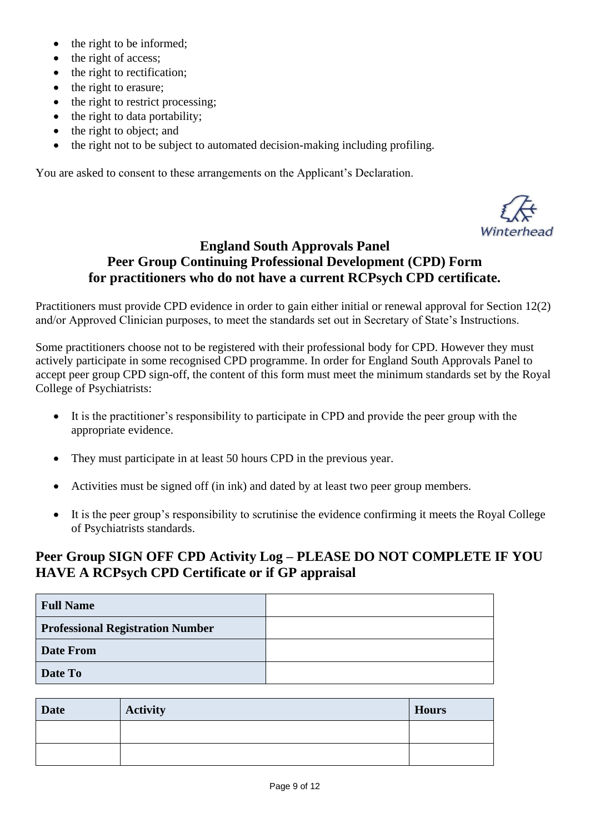- the right to be informed;
- the right of access;
- the right to rectification;
- the right to erasure;
- the right to restrict processing;
- the right to data portability;
- the right to object; and
- the right not to be subject to automated decision-making including profiling.

You are asked to consent to these arrangements on the Applicant's Declaration.



# **England South Approvals Panel Peer Group Continuing Professional Development (CPD) Form for practitioners who do not have a current RCPsych CPD certificate.**

Practitioners must provide CPD evidence in order to gain either initial or renewal approval for Section 12(2) and/or Approved Clinician purposes, to meet the standards set out in Secretary of State's Instructions.

Some practitioners choose not to be registered with their professional body for CPD. However they must actively participate in some recognised CPD programme. In order for England South Approvals Panel to accept peer group CPD sign-off, the content of this form must meet the minimum standards set by the Royal College of Psychiatrists:

- It is the practitioner's responsibility to participate in CPD and provide the peer group with the appropriate evidence.
- They must participate in at least 50 hours CPD in the previous year.
- Activities must be signed off (in ink) and dated by at least two peer group members.
- It is the peer group's responsibility to scrutinise the evidence confirming it meets the Royal College of Psychiatrists standards.

# **Peer Group SIGN OFF CPD Activity Log – PLEASE DO NOT COMPLETE IF YOU HAVE A RCPsych CPD Certificate or if GP appraisal**

| <b>Full Name</b>                        |  |
|-----------------------------------------|--|
| <b>Professional Registration Number</b> |  |
| <b>Date From</b>                        |  |
| Date To                                 |  |

| <b>Date</b> | <b>Activity</b> | <b>Hours</b> |
|-------------|-----------------|--------------|
|             |                 |              |
|             |                 |              |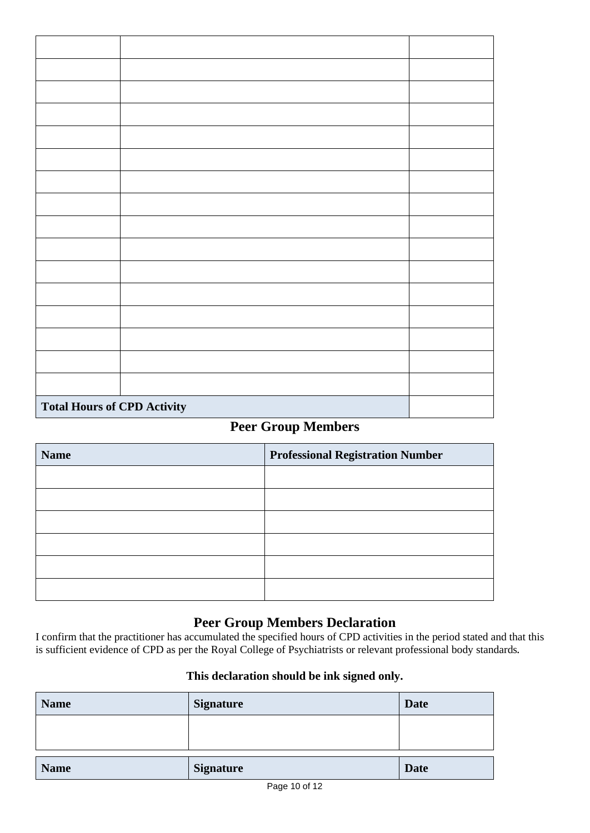| <b>Total Hours of CPD Activity</b> |  |  |
|------------------------------------|--|--|

# **Peer Group Members**

| <b>Name</b> | <b>Professional Registration Number</b> |  |
|-------------|-----------------------------------------|--|
|             |                                         |  |
|             |                                         |  |
|             |                                         |  |
|             |                                         |  |
|             |                                         |  |
|             |                                         |  |

# **Peer Group Members Declaration**

I confirm that the practitioner has accumulated the specified hours of CPD activities in the period stated and that this is sufficient evidence of CPD as per the Royal College of Psychiatrists or relevant professional body standards**.**

## **This declaration should be ink signed only.**

| <b>Name</b> | <b>Signature</b> | <b>Date</b> |
|-------------|------------------|-------------|
|             |                  |             |
|             |                  |             |
| <b>Name</b> | <b>Signature</b> | <b>Date</b> |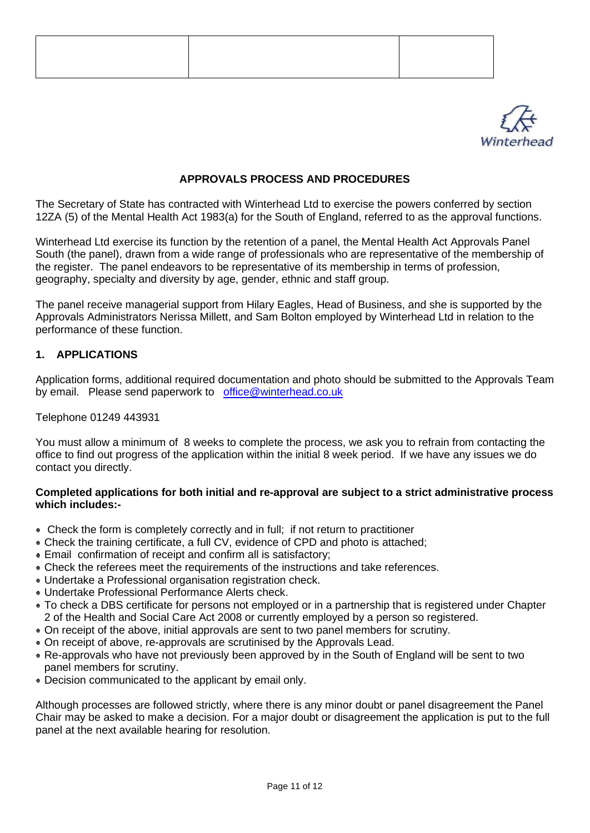



### **APPROVALS PROCESS AND PROCEDURES**

The Secretary of State has contracted with Winterhead Ltd to exercise the powers conferred by section 12ZA (5) of the Mental Health Act 1983(a) for the South of England, referred to as the approval functions.

Winterhead Ltd exercise its function by the retention of a panel, the Mental Health Act Approvals Panel South (the panel), drawn from a wide range of professionals who are representative of the membership of the register. The panel endeavors to be representative of its membership in terms of profession, geography, specialty and diversity by age, gender, ethnic and staff group.

The panel receive managerial support from Hilary Eagles, Head of Business, and she is supported by the Approvals Administrators Nerissa Millett, and Sam Bolton employed by Winterhead Ltd in relation to the performance of these function.

### **1. APPLICATIONS**

Application forms, additional required documentation and photo should be submitted to the Approvals Team by email. Please send paperwork to [office@winterhead.co.uk](mailto:office@winterhead.co.uk)

#### Telephone 01249 443931

You must allow a minimum of 8 weeks to complete the process, we ask you to refrain from contacting the office to find out progress of the application within the initial 8 week period. If we have any issues we do contact you directly.

#### **Completed applications for both initial and re-approval are subject to a strict administrative process which includes:-**

- Check the form is completely correctly and in full; if not return to practitioner
- Check the training certificate, a full CV, evidence of CPD and photo is attached;
- Email confirmation of receipt and confirm all is satisfactory;
- Check the referees meet the requirements of the instructions and take references.
- Undertake a Professional organisation registration check.
- Undertake Professional Performance Alerts check.
- To check a DBS certificate for persons not employed or in a partnership that is registered under Chapter 2 of the Health and Social Care Act 2008 or currently employed by a person so registered.
- On receipt of the above, initial approvals are sent to two panel members for scrutiny.
- On receipt of above, re-approvals are scrutinised by the Approvals Lead.
- Re-approvals who have not previously been approved by in the South of England will be sent to two panel members for scrutiny.
- Decision communicated to the applicant by email only.

Although processes are followed strictly, where there is any minor doubt or panel disagreement the Panel Chair may be asked to make a decision. For a major doubt or disagreement the application is put to the full panel at the next available hearing for resolution.